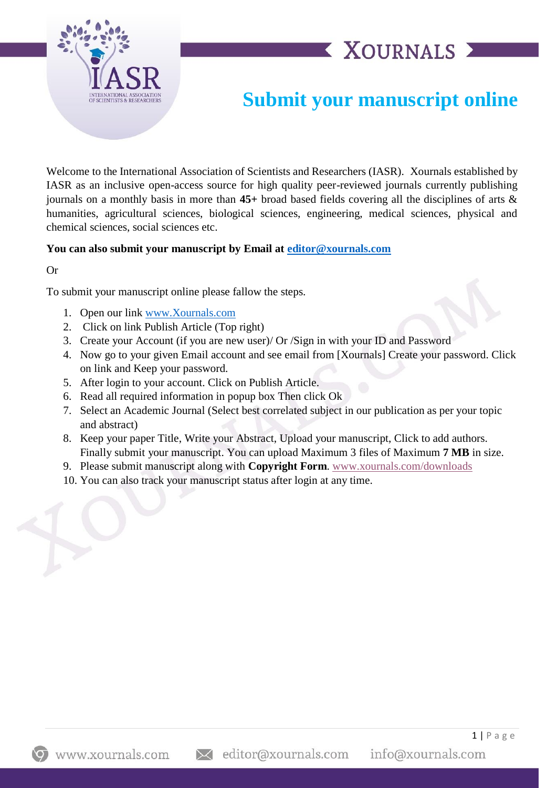

## **XOURNALS >**

## **Submit your manuscript online**

Welcome to the International Association of Scientists and Researchers (IASR). Xournals established by IASR as an inclusive open-access source for high quality peer-reviewed journals currently publishing journals on a monthly basis in more than **45+** broad based fields covering all the disciplines of arts & humanities, agricultural sciences, biological sciences, engineering, medical sciences, physical and chemical sciences, social sciences etc.

## **You can also submit your manuscript by Email at [editor@xournals.com](mailto:editor@xournals.com)**

Or

To submit your manuscript online please fallow the steps.

- 1. Open our link [www.Xournals.com](http://www.xournals.com/)
- 2. Click on link Publish Article (Top right)
- 3. Create your Account (if you are new user)/ Or /Sign in with your ID and Password
- 4. Now go to your given Email account and see email from [Xournals] Create your password. Click on link and Keep your password.
- 5. After login to your account. Click on Publish Article.
- 6. Read all required information in popup box Then click Ok
- 7. Select an Academic Journal (Select best correlated subject in our publication as per your topic and abstract)
- 8. Keep your paper Title, Write your Abstract, Upload your manuscript, Click to add authors. Finally submit your manuscript. You can upload Maximum 3 files of Maximum **7 MB** in size.
- 9. Please submit manuscript along with **Copyright Form**. [www.xournals.com/downloads](http://www.xournals.com/downloads)
- 10. You can also track your manuscript status after login at any time.

 $1 | P$  a g e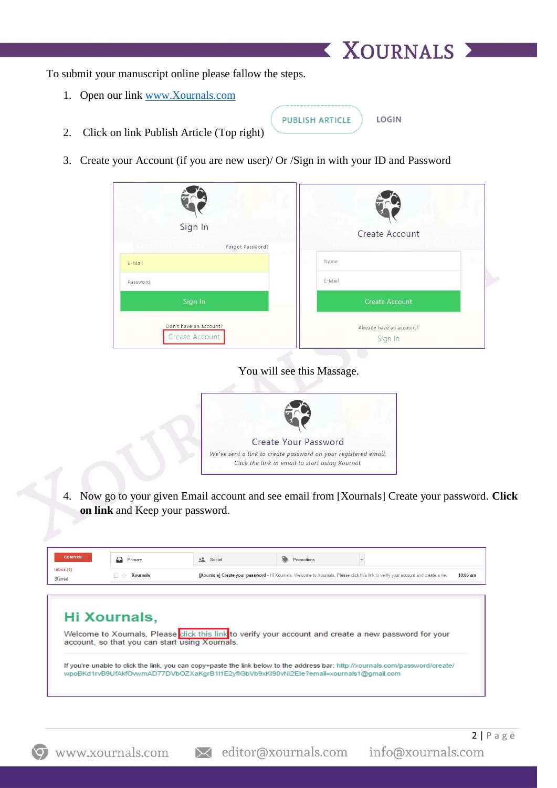To submit your manuscript online please fallow the steps.

1. Open our link [www.Xournals.com](http://www.xournals.com/)

**PUBLISH ARTICLE** 

LOGIN

X XOURNALS X

- 2. Click on link Publish Article (Top right)
- 3. Create your Account (if you are new user)/ Or /Sign in with your ID and Password

| Sign In<br>Forgot Password?              | Create Account                      |  |
|------------------------------------------|-------------------------------------|--|
| E-Mail                                   | Name                                |  |
| Password                                 | E-Mail                              |  |
| Sign In                                  | <b>Create Account</b>               |  |
| Don't have an account?<br>Create Account | Already have an account?<br>Sign In |  |

You will see this Massage.



4. Now go to your given Email account and see email from [Xournals] Create your password. **Click on link** and Keep your password.

| <b>COMPOSE</b>             | ▱<br>Primary                                   | Promotions<br><b>Social</b>                                                                                                                      |
|----------------------------|------------------------------------------------|--------------------------------------------------------------------------------------------------------------------------------------------------|
| Inbox(1)<br><b>Starred</b> | Xournals<br>- 77                               | [Xournals] Create your password - Hi Xournals, Welcome to Xournals, Please click this link to verify your account and create a nev<br>$10:03$ am |
|                            |                                                |                                                                                                                                                  |
|                            |                                                |                                                                                                                                                  |
|                            |                                                |                                                                                                                                                  |
|                            | Hi Xournals,                                   |                                                                                                                                                  |
|                            | account, so that you can start using Xournals. | Welcome to Xournals, Please click this link to verify your account and create a new password for your                                            |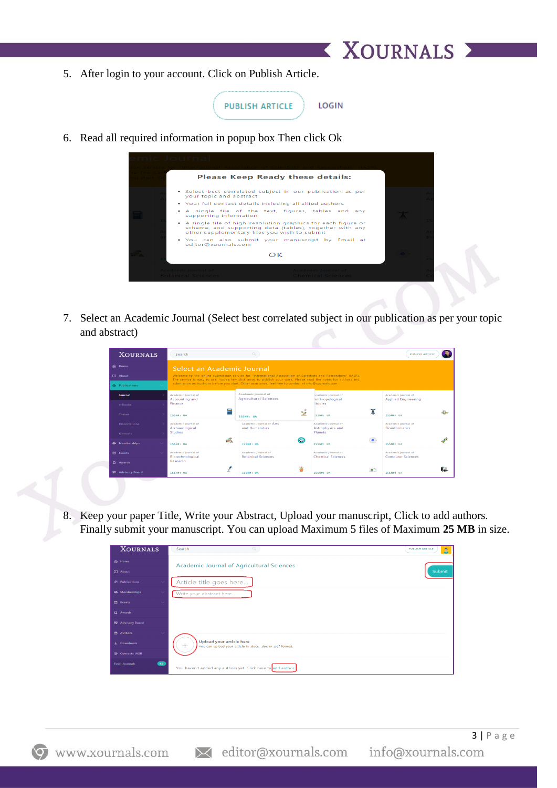5. After login to your account. Click on Publish Article.

| <b>PUBLISH ARTICLE</b> | LOGIN |
|------------------------|-------|
|                        |       |

**XOURNALS X** 

6. Read all required information in popup box Then click Ok



7. Select an Academic Journal (Select best correlated subject in our publication as per your topic and abstract)

|                       | <b>XOURNALS</b> | Search                                                                                                                                                                                                                          |                                                     |           |                                                 |    | <b>PUBLISH ARTICL</b>                             |     |
|-----------------------|-----------------|---------------------------------------------------------------------------------------------------------------------------------------------------------------------------------------------------------------------------------|-----------------------------------------------------|-----------|-------------------------------------------------|----|---------------------------------------------------|-----|
| <b><u>ெ</u>Home</b>   |                 | Select an Academic Journal                                                                                                                                                                                                      |                                                     |           |                                                 |    |                                                   |     |
| <b>ID</b> About       |                 | Welcome to the online submission service for "International Association of Scientists and Researchers" (IASR).<br>The service is easy to use. You're few click away to publish your work. Please read the notes for authors and |                                                     |           |                                                 |    |                                                   |     |
| <b>W</b> Publications |                 | submission instructions before you start. Other assistance, feel free to contact at info@xournals.com                                                                                                                           |                                                     |           |                                                 |    |                                                   |     |
| Journal               |                 | Academic journal of<br>Accounting and                                                                                                                                                                                           | Academic journal of<br><b>Agricultural Sciences</b> |           | icademic journal of<br><b>Anthropological</b>   |    | Academic journal of<br><b>Applied Engineering</b> |     |
| $e$ -Books            |                 | Finance                                                                                                                                                                                                                         |                                                     |           | itudies                                         |    |                                                   |     |
| <b>Theses</b>         |                 | <b>TSSN#: UA</b>                                                                                                                                                                                                                | ISSN#: UA                                           | 咏<br>می   | <b>SSN#: UA</b>                                 |    | <b>TSSN#: UA</b>                                  |     |
| <b>Dissertations</b>  |                 | Academic journal of<br>Archaeological                                                                                                                                                                                           | <b>Academic journal of Arts</b><br>and Humanities   |           | Academic journal of<br>Astrophysics and         |    | Academic journal of<br><b>Bioinformatics</b>      |     |
| <b>Manuals</b>        |                 | <b>Studies</b>                                                                                                                                                                                                                  |                                                     |           | Planets                                         |    |                                                   |     |
| <b>静</b> Memberships  | $\sim$          | ъŘ<br>ISSN#: UA                                                                                                                                                                                                                 | ISSN#: UA                                           | $\bullet$ | ISSN#: UA                                       |    | ISSN#: UA                                         |     |
| <b>ED</b> Events      | $\sim$          | Academic journal of<br>Biotechnological                                                                                                                                                                                         | Academic journal of<br><b>Botanical Sciences</b>    |           | Academic journal of<br><b>Chemical Sciences</b> |    | Academic journal of<br><b>Computer Sciences</b>   |     |
| $\Omega$ Awards       |                 | Research                                                                                                                                                                                                                        |                                                     |           |                                                 |    |                                                   |     |
| 界 Advisory Board      |                 | ISSN#: UA                                                                                                                                                                                                                       | ISSN#: UA                                           | Ü.        | ISSN#: UA                                       | 論的 | ISSN#: UA                                         | CZ. |

8. Keep your paper Title, Write your Abstract, Upload your manuscript, Click to add authors. Finally submit your manuscript. You can upload Maximum 5 files of Maximum **25 MB** in size.

| <b>XOURNALS</b>                    | Q<br>Search                                                                                             | <b>PUBLISH ARTICLE</b><br>ΑI |
|------------------------------------|---------------------------------------------------------------------------------------------------------|------------------------------|
| <b>命</b> Home                      | <b>Academic Journal of Agricultural Sciences</b>                                                        |                              |
| <b>CI</b> About                    |                                                                                                         | Submit                       |
| <b>W</b> Publications              | Article title goes here                                                                                 |                              |
| 森 Memberships                      | Write your abstract here                                                                                |                              |
| <b>Events</b>                      |                                                                                                         |                              |
| Q Awards                           |                                                                                                         |                              |
| 界 Advisory Board                   |                                                                                                         |                              |
| <b>色 Authors</b>                   |                                                                                                         |                              |
| $\downarrow$ Downloads             | <b>Upload your article here</b><br>You can upload your article in .docx, .doc or .pdf format.<br>$^{+}$ |                              |
| <b>@</b> Contacts IASR             |                                                                                                         |                              |
| $\bullet$<br><b>Total Journals</b> | You haven't added any authors yet. Click here to add author                                             |                              |